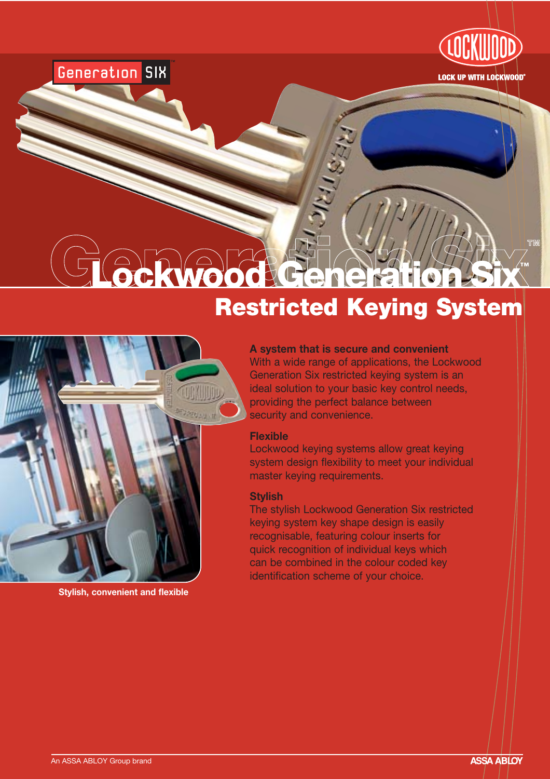

**TM**

# Generation SIX

# Genwood Generation Six Restricted Keying System



**Stylish, convenient and flexible**

### **A system that is secure and convenient**

With a wide range of applications, the Lockwood Generation Six restricted keying system is an ideal solution to your basic key control needs, providing the perfect balance between security and convenience.

### **Flexible**

Lockwood keying systems allow great keying system design flexibility to meet your individual master keying requirements.

#### **Stylish**

The stylish Lockwood Generation Six restricted keying system key shape design is easily recognisable, featuring colour inserts for quick recognition of individual keys which can be combined in the colour coded key identification scheme of your choice.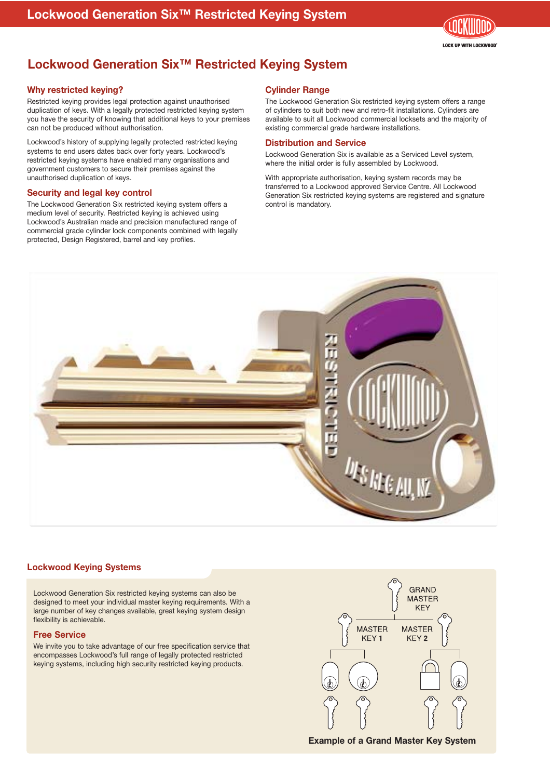

# **Lockwood Generation Six™ Restricted Keying System**

#### **Why restricted keying?**

Restricted keying provides legal protection against unauthorised duplication of keys. With a legally protected restricted keying system you have the security of knowing that additional keys to your premises can not be produced without authorisation.

Lockwood's history of supplying legally protected restricted keying systems to end users dates back over forty years. Lockwood's restricted keying systems have enabled many organisations and government customers to secure their premises against the unauthorised duplication of keys.

#### **Security and legal key control**

The Lockwood Generation Six restricted keying system offers a medium level of security. Restricted keying is achieved using Lockwood's Australian made and precision manufactured range of commercial grade cylinder lock components combined with legally protected, Design Registered, barrel and key profiles.

#### **Cylinder Range**

The Lockwood Generation Six restricted keying system offers a range of cylinders to suit both new and retro-fit installations. Cylinders are available to suit all Lockwood commercial locksets and the majority of existing commercial grade hardware installations.

#### **Distribution and Service**

Lockwood Generation Six is available as a Serviced Level system, where the initial order is fully assembled by Lockwood.

With appropriate authorisation, keying system records may be transferred to a Lockwood approved Service Centre. All Lockwood Generation Six restricted keying systems are registered and signature control is mandatory.



#### **Lockwood Keying Systems**

Lockwood Generation Six restricted keying systems can also be designed to meet your individual master keying requirements. With a large number of key changes available, great keying system design flexibility is achievable.

#### **Free Service**

We invite you to take advantage of our free specification service that encompasses Lockwood's full range of legally protected restricted keying systems, including high security restricted keying products.



**Example of a Grand Master Key System**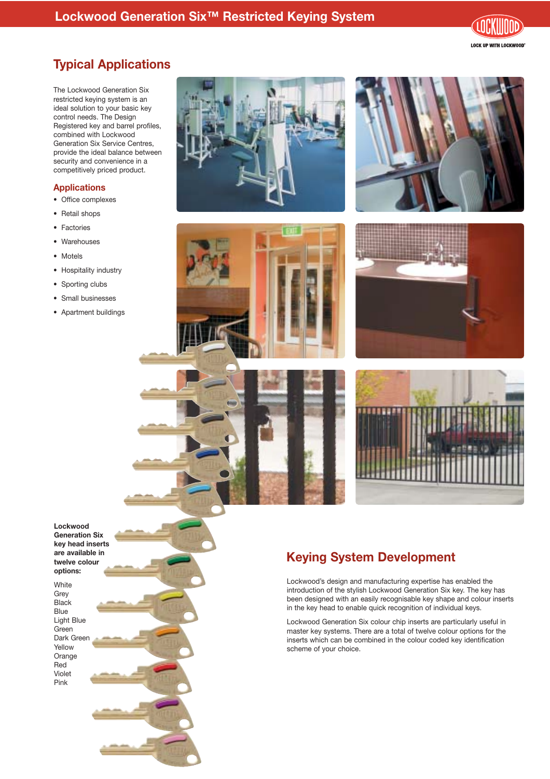## **Lockwood Generation Six™ Restricted Keying System**

**LOCK UP WITH LOCKWOOD** 

# **Typical Applications**

The Lockwood Generation Six restricted keying system is an ideal solution to your basic key control needs. The Design Registered key and barrel profiles, combined with Lockwood Generation Six Service Centres, provide the ideal balance between security and convenience in a competitively priced product.

#### **Applications**

- Office complexes
- Retail shops
- Factories
- Warehouses
- Motels
- Hospitality industry
- Sporting clubs
- Small businesses
- Apartment buildings









#### **Lockwood Generation Six key head inserts are available in twelve colour options:**

White Grey **Black** Blue Light Blue Green Dark Green Yellow Orange Red Violet Pink

# **Keying System Development**

Lockwood's design and manufacturing expertise has enabled the introduction of the stylish Lockwood Generation Six key. The key has been designed with an easily recognisable key shape and colour inserts in the key head to enable quick recognition of individual keys.

Lockwood Generation Six colour chip inserts are particularly useful in master key systems. There are a total of twelve colour options for the inserts which can be combined in the colour coded key identification scheme of your choice.